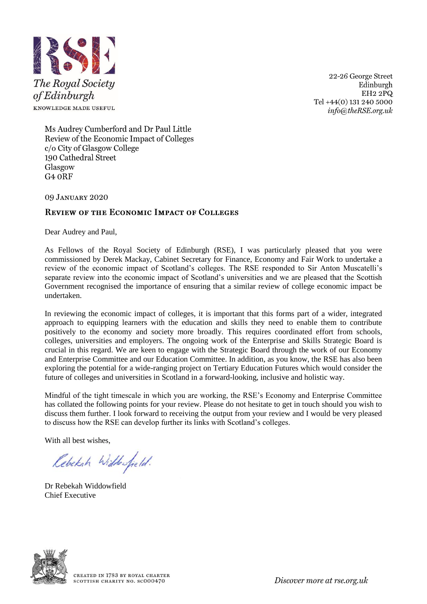

22-26 George Street Edinburgh  $EH22\overline{PQ}$ Tel +44(0) 131 240 5000  $info@theRSE.org.uk$ 

Ms Audrey Cumberford and Dr Paul Little Review of the Economic Impact of Colleges c/o City of Glasgow College 190 Cathedral Street Glasgow G<sub>4</sub> ORF

09 JANUARY 2020

# **REVIEW OF THE ECONOMIC IMPACT OF COLLEGES**

Dear Audrey and Paul,

As Fellows of the Royal Society of Edinburgh (RSE), I was particularly pleased that you were commissioned by Derek Mackay, Cabinet Secretary for Finance, Economy and Fair Work to undertake a review of the economic impact of Scotland's colleges. The RSE responded to Sir Anton Muscatelli's separate review into the economic impact of Scotland's universities and we are pleased that the Scottish Government recognised the importance of ensuring that a similar review of college economic impact be undertaken.

In reviewing the economic impact of colleges, it is important that this forms part of a wider, integrated approach to equipping learners with the education and skills they need to enable them to contribute positively to the economy and society more broadly. This requires coordinated effort from schools, colleges, universities and employers. The ongoing work of the Enterprise and Skills Strategic Board is crucial in this regard. We are keen to engage with the Strategic Board through the work of our Economy and Enterprise Committee and our Education Committee. In addition, as you know, the RSE has also been exploring the potential for a wide-ranging project on Tertiary Education Futures which would consider the future of colleges and universities in Scotland in a forward-looking, inclusive and holistic way.

Mindful of the tight timescale in which you are working, the RSE's Economy and Enterprise Committee has collated the following points for your review. Please do not hesitate to get in touch should you wish to discuss them further. I look forward to receiving the output from your review and I would be very pleased to discuss how the RSE can develop further its links with Scotland's colleges.

With all best wishes,

Rebekah Widdowfield.

Dr Rebekah Widdowfield Chief Executive



Discover more at rse.org.uk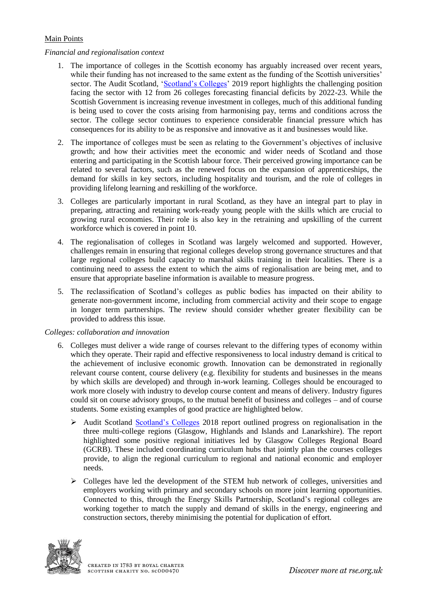## Main Points

#### *Financial and regionalisation context*

- 1. The importance of colleges in the Scottish economy has arguably increased over recent years, while their funding has not increased to the same extent as the funding of the Scottish universities' sector. The Audit Scotland, ['Scotland's Colleges'](https://www.audit-scotland.gov.uk/uploads/docs/report/2019/nr_190604_scotlands_colleges.pdf) 2019 report highlights the challenging position facing the sector with 12 from 26 colleges forecasting financial deficits by 2022-23. While the Scottish Government is increasing revenue investment in colleges, much of this additional funding is being used to cover the costs arising from harmonising pay, terms and conditions across the sector. The college sector continues to experience considerable financial pressure which has consequences for its ability to be as responsive and innovative as it and businesses would like.
- 2. The importance of colleges must be seen as relating to the Government's objectives of inclusive growth; and how their activities meet the economic and wider needs of Scotland and those entering and participating in the Scottish labour force. Their perceived growing importance can be related to several factors, such as the renewed focus on the expansion of apprenticeships, the demand for skills in key sectors, including hospitality and tourism, and the role of colleges in providing lifelong learning and reskilling of the workforce.
- 3. Colleges are particularly important in rural Scotland, as they have an integral part to play in preparing, attracting and retaining work-ready young people with the skills which are crucial to growing rural economies. Their role is also key in the retraining and upskilling of the current workforce which is covered in point 10.
- 4. The regionalisation of colleges in Scotland was largely welcomed and supported. However, challenges remain in ensuring that regional colleges develop strong governance structures and that large regional colleges build capacity to marshal skills training in their localities. There is a continuing need to assess the extent to which the aims of regionalisation are being met, and to ensure that appropriate baseline information is available to measure progress.
- 5. The reclassification of Scotland's colleges as public bodies has impacted on their ability to generate non-government income, including from commercial activity and their scope to engage in longer term partnerships. The review should consider whether greater flexibility can be provided to address this issue.

## *Colleges: collaboration and innovation*

- 6. Colleges must deliver a wide range of courses relevant to the differing types of economy within which they operate. Their rapid and effective responsiveness to local industry demand is critical to the achievement of inclusive economic growth. Innovation can be demonstrated in regionally relevant course content, course delivery (e.g. flexibility for students and businesses in the means by which skills are developed) and through in-work learning. Colleges should be encouraged to work more closely with industry to develop course content and means of delivery. Industry figures could sit on course advisory groups, to the mutual benefit of business and colleges – and of course students. Some existing examples of good practice are highlighted below.
	- ➢ Audit Scotland [Scotland's Colleges](https://www.audit-scotland.gov.uk/report/scotlands-colleges-2018) 2018 report outlined progress on regionalisation in the three multi-college regions (Glasgow, Highlands and Islands and Lanarkshire). The report highlighted some positive regional initiatives led by Glasgow Colleges Regional Board (GCRB). These included coordinating curriculum hubs that jointly plan the courses colleges provide, to align the regional curriculum to regional and national economic and employer needs.
	- ➢ Colleges have led the development of the STEM hub network of colleges, universities and employers working with primary and secondary schools on more joint learning opportunities. Connected to this, through the Energy Skills Partnership, Scotland's regional colleges are working together to match the supply and demand of skills in the energy, engineering and construction sectors, thereby minimising the potential for duplication of effort.

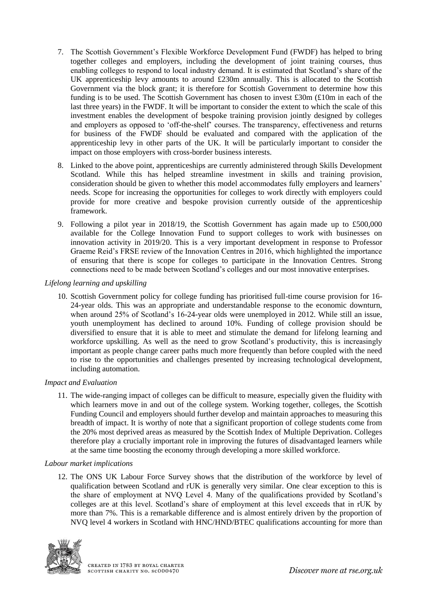- 7. The Scottish Government's Flexible Workforce Development Fund (FWDF) has helped to bring together colleges and employers, including the development of joint training courses, thus enabling colleges to respond to local industry demand. It is estimated that Scotland's share of the UK apprenticeship levy amounts to around £230m annually. This is allocated to the Scottish Government via the block grant; it is therefore for Scottish Government to determine how this funding is to be used. The Scottish Government has chosen to invest £30m (£10m in each of the last three years) in the FWDF. It will be important to consider the extent to which the scale of this investment enables the development of bespoke training provision jointly designed by colleges and employers as opposed to 'off-the-shelf' courses. The transparency, effectiveness and returns for business of the FWDF should be evaluated and compared with the application of the apprenticeship levy in other parts of the UK. It will be particularly important to consider the impact on those employers with cross-border business interests.
- 8. Linked to the above point, apprenticeships are currently administered through Skills Development Scotland. While this has helped streamline investment in skills and training provision, consideration should be given to whether this model accommodates fully employers and learners' needs. Scope for increasing the opportunities for colleges to work directly with employers could provide for more creative and bespoke provision currently outside of the apprenticeship framework.
- 9. Following a pilot year in 2018/19, the Scottish Government has again made up to £500,000 available for the College Innovation Fund to support colleges to work with businesses on innovation activity in 2019/20. This is a very important development in response to Professor Graeme Reid's FRSE review of the Innovation Centres in 2016, which highlighted the importance of ensuring that there is scope for colleges to participate in the Innovation Centres. Strong connections need to be made between Scotland's colleges and our most innovative enterprises.

## *Lifelong learning and upskilling*

10. Scottish Government policy for college funding has prioritised full-time course provision for 16- 24-year olds. This was an appropriate and understandable response to the economic downturn, when around 25% of Scotland's 16-24-year olds were unemployed in 2012. While still an issue, youth unemployment has declined to around 10%. Funding of college provision should be diversified to ensure that it is able to meet and stimulate the demand for lifelong learning and workforce upskilling. As well as the need to grow Scotland's productivity, this is increasingly important as people change career paths much more frequently than before coupled with the need to rise to the opportunities and challenges presented by increasing technological development, including automation.

## *Impact and Evaluation*

11. The wide-ranging impact of colleges can be difficult to measure, especially given the fluidity with which learners move in and out of the college system. Working together, colleges, the Scottish Funding Council and employers should further develop and maintain approaches to measuring this breadth of impact. It is worthy of note that a significant proportion of college students come from the 20% most deprived areas as measured by the Scottish Index of Multiple Deprivation. Colleges therefore play a crucially important role in improving the futures of disadvantaged learners while at the same time boosting the economy through developing a more skilled workforce.

## *Labour market implications*

12. The ONS UK Labour Force Survey shows that the distribution of the workforce by level of qualification between Scotland and rUK is generally very similar. One clear exception to this is the share of employment at NVQ Level 4. Many of the qualifications provided by Scotland's colleges are at this level. Scotland's share of employment at this level exceeds that in rUK by more than 7%. This is a remarkable difference and is almost entirely driven by the proportion of NVQ level 4 workers in Scotland with HNC/HND/BTEC qualifications accounting for more than